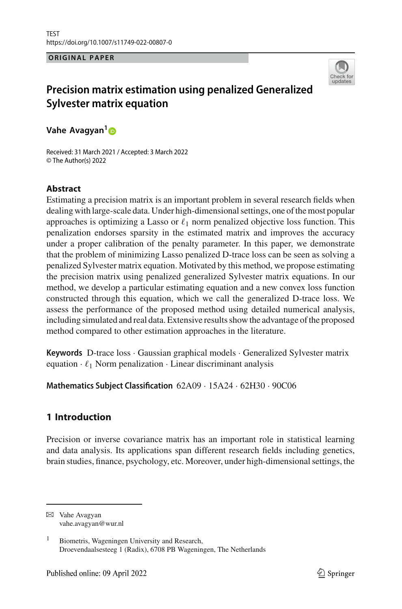**ORIGINAL PAPER ORIGINAL PAPER**



# **Precision matrix estimation using penalized Generalized Sylvester matrix equation**

**Vahe Avagyan[1](http://orcid.org/0000-0002-3580-7678)**

Received: 31 March 2021 / Accepted: 3 March 2022 © The Author(s) 2022

# **Abstract**

Estimating a precision matrix is an important problem in several research fields when dealing with large-scale data. Under high-dimensional settings, one of the most popular approaches is optimizing a Lasso or  $\ell_1$  norm penalized objective loss function. This penalization endorses sparsity in the estimated matrix and improves the accuracy under a proper calibration of the penalty parameter. In this paper, we demonstrate that the problem of minimizing Lasso penalized D-trace loss can be seen as solving a penalized Sylvester matrix equation. Motivated by this method, we propose estimating the precision matrix using penalized generalized Sylvester matrix equations. In our method, we develop a particular estimating equation and a new convex loss function constructed through this equation, which we call the generalized D-trace loss. We assess the performance of the proposed method using detailed numerical analysis, including simulated and real data. Extensive results show the advantage of the proposed method compared to other estimation approaches in the literature.

**Keywords** D-trace loss · Gaussian graphical models · Generalized Sylvester matrix equation  $\cdot \ell_1$  Norm penalization  $\cdot$  Linear discriminant analysis

**Mathematics Subject Classification** 62A09 · 15A24 · 62H30 · 90C06

# **1 Introduction**

Precision or inverse covariance matrix has an important role in statistical learning and data analysis. Its applications span different research fields including genetics, brain studies, finance, psychology, etc. Moreover, under high-dimensional settings, the

B Vahe Avagyan vahe.avagyan@wur.nl

<sup>1</sup> Biometris, Wageningen University and Research, Droevendaalsesteeg 1 (Radix), 6708 PB Wageningen, The Netherlands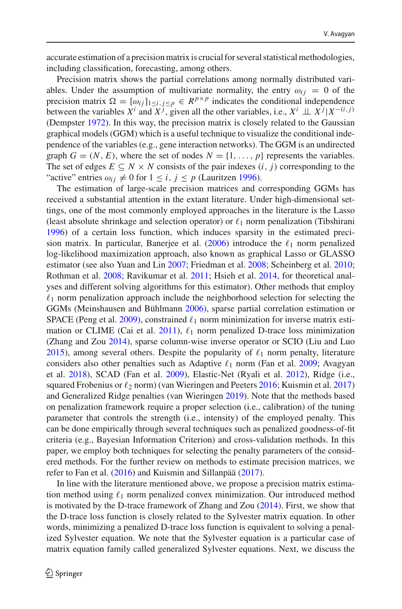accurate estimation of a precision matrix is crucial for several statistical methodologies, including classification, forecasting, among others.

Precision matrix shows the partial correlations among normally distributed variables. Under the assumption of multivariate normality, the entry  $\omega_{ij} = 0$  of the precision matrix  $\Omega = [\omega_{ij}]_{1 \le i, j \le p} \in R^{p \times p}$  indicates the conditional independence between the variables  $X^i$  and  $X^j$ , given all the other variables, i.e.,  $X^i \perp \perp X^j | X^{-(i,j)}$ (Dempste[r](#page-16-0) [1972](#page-16-0)). In this way, the precision matrix is closely related to the Gaussian graphical models (GGM) which is a useful technique to visualize the conditional independence of the variables (e.g., gene interaction networks). The GGM is an undirected graph  $G = (N, E)$ , where the set of nodes  $N = \{1, \ldots, p\}$  represents the variables. The set of edges  $E \subseteq N \times N$  consists of the pair indexes  $(i, j)$  corresponding to the "active" e[n](#page-16-1)tries  $\omega_{ii} \neq 0$  for  $1 \leq i, j \leq p$  (Lauritzen [1996\)](#page-16-1).

The estimation of large-scale precision matrices and corresponding GGMs has received a substantial attention in the extant literature. Under high-dimensional settings, one of the most commonly employed approaches in the literature is the Lasso (least absolute shr[i](#page-16-2)nkage and selection operator) or  $\ell_1$  norm penalization (Tibshirani [1996\)](#page-16-2) of a certain loss function, which induces sparsity in the estimated preci-sion matrix[.](#page-16-3) In particular, Banerjee et al.  $(2006)$  $(2006)$  introduce the  $\ell_1$  norm penalized log-likelihood maximization approach, also known as graphical Lasso or GLASSO estimator (see also Yuan and Li[n](#page-17-0) [2007](#page-17-0); Friedman et al[.](#page-16-4) [2008](#page-16-4); Scheinberg et al[.](#page-16-5) [2010](#page-16-5); Rothman et al[.](#page-16-6) [2008;](#page-16-6) Ravikumar et al[.](#page-16-7) [2011](#page-16-7); Hsieh et al[.](#page-16-8) [2014](#page-16-8), for theoretical analyses and different solving algorithms for this estimator). Other methods that employ  $\ell_1$  norm penalization approach include the neighborhood selection for selecting the GGMs (Meinshausen and Bühlman[n](#page-16-9) [2006\)](#page-16-9), sparse partial correlation estimation or SPACE (Peng et al[.](#page-16-10) [2009](#page-16-10)), constrained  $\ell_1$  norm minimization for inverse matrix esti-mation or CLIME (Cai et al[.](#page-16-11) [2011\)](#page-16-11),  $\ell_1$  norm penalized D-trace loss minimization (Zhang and Zo[u](#page-17-1) [2014\)](#page-17-1), sparse column-wise inverse operator or SCIO (Liu and Lu[o](#page-16-12) [2015\)](#page-16-12), among several others. Despite the popularity of  $\ell_1$  norm penalty, literature considers also other penalties such as Adaptive  $\ell_1$  norm (Fan et al[.](#page-16-13) [2009](#page-16-13); Avagyan et al[.](#page-15-0) [2018](#page-15-0)), SCAD (Fan et al[.](#page-16-13) [2009](#page-16-13)), Elastic-Net (Ryali et al[.](#page-16-14) [2012\)](#page-16-14), Ridge (i.e., [s](#page-16-15)quared Frobenius or  $\ell_2$  norm) (van Wieringen and Peeters [2016](#page-16-15); Kuismin et al[.](#page-16-16) [2017\)](#page-16-16) and Generalized Ridge penalties (van Wieringe[n](#page-16-17) [2019\)](#page-16-17). Note that the methods based on penalization framework require a proper selection (i.e., calibration) of the tuning parameter that controls the strength (i.e., intensity) of the employed penalty. This can be done empirically through several techniques such as penalized goodness-of-fit criteria (e.g., Bayesian Information Criterion) and cross-validation methods. In this paper, we employ both techniques for selecting the penalty parameters of the considered methods. For the further review on methods to estimate precision matrices, we refer to Fan et al[.](#page-16-18) [\(2016\)](#page-16-18) and Kuismin and Sillanpä[ä](#page-16-19) [\(2017\)](#page-16-19).

In line with the literature mentioned above, we propose a precision matrix estimation method using  $\ell_1$  norm penalized convex minimization. Our introduced method is motivated by the D-trace framework of Zhang and Zo[u](#page-17-1) [\(2014](#page-17-1)). First, we show that the D-trace loss function is closely related to the Sylvester matrix equation. In other words, minimizing a penalized D-trace loss function is equivalent to solving a penalized Sylvester equation. We note that the Sylvester equation is a particular case of matrix equation family called generalized Sylvester equations. Next, we discuss the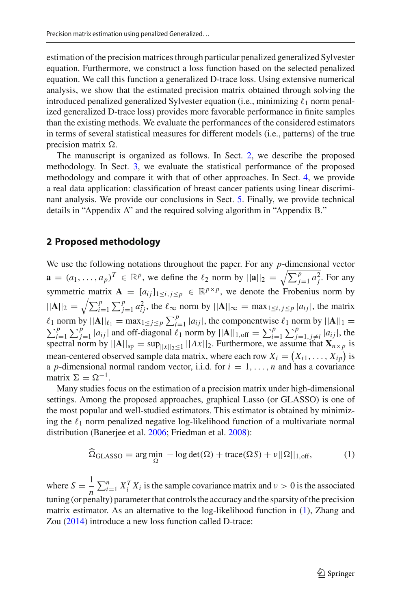estimation of the precision matrices through particular penalized generalized Sylvester equation. Furthermore, we construct a loss function based on the selected penalized equation. We call this function a generalized D-trace loss. Using extensive numerical analysis, we show that the estimated precision matrix obtained through solving the introduced penalized generalized Sylvester equation (i.e., minimizing  $\ell_1$  norm penalized generalized D-trace loss) provides more favorable performance in finite samples than the existing methods. We evaluate the performances of the considered estimators in terms of several statistical measures for different models (i.e., patterns) of the true precision matrix  $\Omega$ .

The manuscript is organized as follows. In Sect. [2,](#page-2-0) we describe the proposed methodology. In Sect. [3,](#page-5-0) we evaluate the statistical performance of the proposed methodology and compare it with that of other approaches. In Sect. [4,](#page-11-0) we provide a real data application: classification of breast cancer patients using linear discriminant analysis. We provide our conclusions in Sect. [5.](#page-12-0) Finally, we provide technical details in "Appendix A" and the required solving algorithm in "Appendix B."

### <span id="page-2-0"></span>**2 Proposed methodology**

We use the following notations throughout the paper. For any *p*-dimensional vector  $\mathbf{a} = (a_1, \dots, a_p)^T \in \mathbb{R}^p$ , we define the  $\ell_2$  norm by  $||\mathbf{a}||_2 = \sqrt{\sum_{j=1}^p a_j^2}$ . For any symmetric matrix  $\mathbf{A} = [a_{ij}]_{1 \le i, j \le p} \in \mathbb{R}^{p \times p}$ , we denote the Frobenius norm by  $||A||_2 = \sqrt{\sum_{i=1}^p \sum_{j=1}^p a_{ij}^2}$ , the  $\ell_{\infty}$  norm by  $||A||_{\infty} = \max_{1 \le i, j \le p} |a_{ij}|$ , the matrix  $\ell_1$  norm by  $||\mathbf{A}||_{\ell_1} = \max_{1 \leq j \leq p} \sum_{i=1}^p |a_{ij}|$ , the componentwise  $\ell_1$  norm by  $||\mathbf{A}||_1 = \sum_{i=1}^p |a_{ij}|$  $\sum_{i=1}^{p} \sum_{j=1}^{p} |a_{ij}|$  and off-diagonal  $\ell_1$  norm by  $||A||_{1,\text{off}} = \sum_{i=1}^{p} \sum_{j=1, j \neq i}^{p} |a_{ij}|$ , the spectral norm by  $||A||_{sp} = \sup_{||x||_2 \leq 1} ||Ax||_2$ . Furthermore, we assume that  $X_{n \times p}$  is mean-centered observed sample data matrix, where each row  $X_i = (X_{i1}, \ldots, X_{ip})$  is a *p*-dimensional normal random vector, i.i.d. for  $i = 1, \ldots, n$  and has a covariance matrix  $\Sigma = \Omega^{-1}$ .

Many studies focus on the estimation of a precision matrix under high-dimensional settings. Among the proposed approaches, graphical Lasso (or GLASSO) is one of the most popular and well-studied estimators. This estimator is obtained by minimizing the  $\ell_1$  norm penalized negative log-likelihood function of a multivariate normal distribution (Banerjee et al[.](#page-16-3) [2006;](#page-16-3) Friedman et al[.](#page-16-4) [2008\)](#page-16-4):

<span id="page-2-1"></span>
$$
\widehat{\Omega}_{\text{GLASSO}} = \arg\min_{\Omega} \ -\log \det(\Omega) + \text{trace}(\Omega S) + \nu ||\Omega||_{1,\text{off}},\tag{1}
$$

where  $S = \frac{1}{n} \sum_{i=1}^{n} X_i^T X_i$  is the sample covariance matrix and  $\nu > 0$  is the associated tuning (or penalty) parameter that controls the accuracy and the sparsity of the precision matrix estimator. As an alternative to the log-likelihood function in [\(1\)](#page-2-1), Zhang and Zo[u](#page-17-1) [\(2014\)](#page-17-1) introduce a new loss function called D-trace: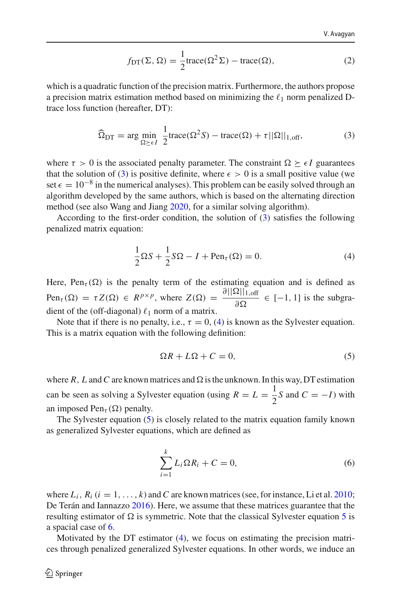$$
f_{\text{DT}}(\Sigma, \Omega) = \frac{1}{2} \text{trace}(\Omega^2 \Sigma) - \text{trace}(\Omega),\tag{2}
$$

which is a quadratic function of the precision matrix. Furthermore, the authors propose a precision matrix estimation method based on minimizing the  $\ell_1$  norm penalized Dtrace loss function (hereafter, DT):

<span id="page-3-0"></span>
$$
\widehat{\Omega}_{\text{DT}} = \arg \min_{\Omega \succeq \epsilon I} \frac{1}{2} \text{trace}(\Omega^2 S) - \text{trace}(\Omega) + \tau ||\Omega||_{1, \text{off}},\tag{3}
$$

where  $\tau > 0$  is the associated penalty parameter. The constraint  $\Omega > \epsilon I$  guarantees that the solution of [\(3\)](#page-3-0) is positive definite, where  $\epsilon > 0$  is a small positive value (we set  $\epsilon = 10^{-8}$  in the numerical analyses). This problem can be easily solved through an algorithm developed by the same authors, which is based on the alternating direction method (see also Wang and Jian[g](#page-16-20) [2020,](#page-16-20) for a similar solving algorithm).

According to the first-order condition, the solution of [\(3\)](#page-3-0) satisfies the following penalized matrix equation:

<span id="page-3-1"></span>
$$
\frac{1}{2}\Omega S + \frac{1}{2}S\Omega - I + \text{Pen}_{\tau}(\Omega) = 0.
$$
 (4)

Here,  $Pen_{\tau}(\Omega)$  is the penalty term of the estimating equation and is defined as Pen<sub>τ</sub> ( $\Omega$ ) =  $\tau Z(\Omega) \in R^{p \times p}$ , where  $Z(\Omega) = \frac{\partial ||\Omega||_{1,\text{off}}}{\partial \Omega} \in [-1, 1]$  is the subgradient of the (off-diagonal)  $\ell_1$  norm of a matrix.

Note that if there is no penalty, i.e.,  $\tau = 0$ , [\(4\)](#page-3-1) is known as the Sylvester equation. This is a matrix equation with the following definition:

<span id="page-3-2"></span>
$$
\Omega R + L\Omega + C = 0,\t\t(5)
$$

where  $R$ ,  $L$  and  $C$  are known matrices and  $\Omega$  is the unknown. In this way, DT estimation can be seen as solving a Sylvester equation (using  $R = L = \frac{1}{2}S$  and  $C = -I$ ) with an imposed Pen<sub>τ</sub> ( $\Omega$ ) penalty.

The Sylvester equation [\(5\)](#page-3-2) is closely related to the matrix equation family known as generalized Sylvester equations, which are defined as

<span id="page-3-3"></span>
$$
\sum_{i=1}^{k} L_i \Omega R_i + C = 0, \tag{6}
$$

where  $L_i$ ,  $R_i$  ( $i = 1, ..., k$  $i = 1, ..., k$  $i = 1, ..., k$ ) and C are known matrices (see, for instance, Li et al. [2010](#page-16-21); De Terán and Iannazz[o](#page-16-22) [2016](#page-16-22)). Here, we assume that these matrices guarantee that the resulting estimator of  $\Omega$  is symmetric. Note that the classical Sylvester equation [5](#page-3-2) is a spacial case of [6.](#page-3-3)

Motivated by the DT estimator [\(4\)](#page-3-1), we focus on estimating the precision matrices through penalized generalized Sylvester equations. In other words, we induce an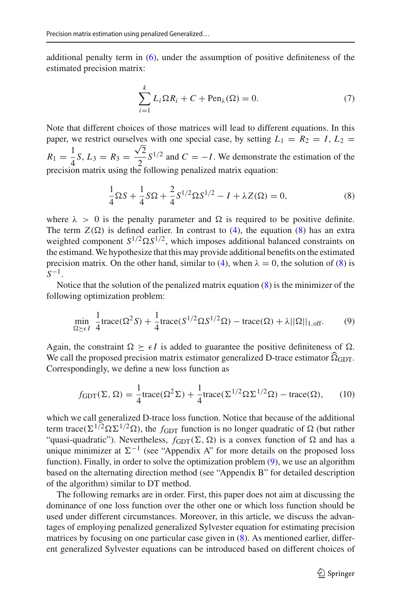additional penalty term in  $(6)$ , under the assumption of positive definiteness of the estimated precision matrix:

<span id="page-4-2"></span>
$$
\sum_{i=1}^{k} L_i \Omega R_i + C + \text{Pen}_{\lambda}(\Omega) = 0. \tag{7}
$$

Note that different choices of those matrices will lead to different equations. In this paper, we restrict ourselves with one special case, by setting  $L_1 = R_2 = I$ ,  $L_2 =$  $R_1 = \frac{1}{4}S, L_3 = R_3 =$  $\sqrt{2}$  $\frac{2}{2}S^{1/2}$  and  $C = -I$ . We demonstrate the estimation of the precision matrix using the following penalized matrix equation:

<span id="page-4-0"></span>
$$
\frac{1}{4}\Omega S + \frac{1}{4}S\Omega + \frac{2}{4}S^{1/2}\Omega S^{1/2} - I + \lambda Z(\Omega) = 0,
$$
\n(8)

where  $\lambda > 0$  is the penalty parameter and  $\Omega$  is required to be positive definite. The term  $Z(\Omega)$  is defined earlier. In contrast to [\(4\)](#page-3-1), the equation [\(8\)](#page-4-0) has an extra weighted component  $S^{1/2} \Omega S^{1/2}$ , which imposes additional balanced constraints on the estimand.We hypothesize that this may provide additional benefits on the estimated precision matrix. On the other hand, similar to [\(4\)](#page-3-1), when  $\lambda = 0$ , the solution of [\(8\)](#page-4-0) is *S*−1.

Notice that the solution of the penalized matrix equation [\(8\)](#page-4-0) is the minimizer of the following optimization problem:

<span id="page-4-1"></span>
$$
\min_{\Omega \ge \epsilon I} \frac{1}{4} \text{trace}(\Omega^2 S) + \frac{1}{4} \text{trace}(\mathcal{S}^{1/2} \Omega \mathcal{S}^{1/2} \Omega) - \text{trace}(\Omega) + \lambda ||\Omega||_{1, \text{off}}.
$$
 (9)

Again, the constraint  $\Omega \geq \epsilon I$  is added to guarantee the positive definiteness of  $\Omega$ . We call the proposed precision matrix estimator generalized D-trace estimator  $\widehat{\Omega}_{GDT}$ . Correspondingly, we define a new loss function as

$$
f_{\text{GDT}}(\Sigma, \Omega) = \frac{1}{4} \text{trace}(\Omega^2 \Sigma) + \frac{1}{4} \text{trace}(\Sigma^{1/2} \Omega \Sigma^{1/2} \Omega) - \text{trace}(\Omega), \qquad (10)
$$

which we call generalized D-trace loss function. Notice that because of the additional term trace( $\Sigma^{1/2} \Omega \Sigma^{1/2} \Omega$ ), the  $f_{GDT}$  function is no longer quadratic of  $\Omega$  (but rather "quasi-quadratic"). Nevertheless,  $f_{GDT}(\Sigma, \Omega)$  is a convex function of  $\Omega$  and has a unique minimizer at  $\Sigma^{-1}$  (see "Appendix A" for more details on the proposed loss function). Finally, in order to solve the optimization problem  $(9)$ , we use an algorithm based on the alternating direction method (see "Appendix B" for detailed description of the algorithm) similar to DT method.

The following remarks are in order. First, this paper does not aim at discussing the dominance of one loss function over the other one or which loss function should be used under different circumstances. Moreover, in this article, we discuss the advantages of employing penalized generalized Sylvester equation for estimating precision matrices by focusing on one particular case given in [\(8\)](#page-4-0). As mentioned earlier, different generalized Sylvester equations can be introduced based on different choices of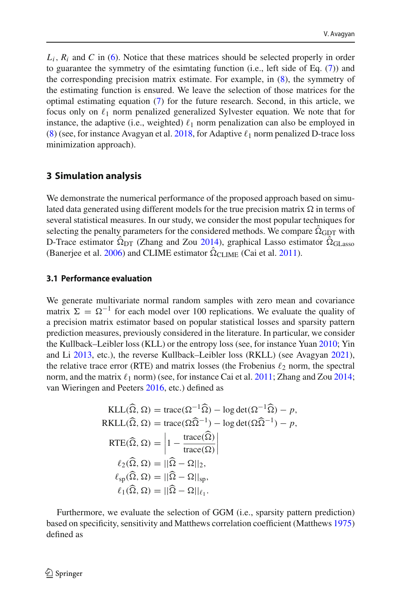$L_i$ ,  $R_i$  and  $C$  in [\(6\)](#page-3-3). Notice that these matrices should be selected properly in order to guarantee the symmetry of the esimtating function (i.e., left side of Eq. [\(7\)](#page-4-2)) and the corresponding precision matrix estimate. For example, in [\(8\)](#page-4-0), the symmetry of the estimating function is ensured. We leave the selection of those matrices for the optimal estimating equation [\(7\)](#page-4-2) for the future research. Second, in this article, we focus only on  $\ell_1$  norm penalized generalized Sylvester equation. We note that for instance, the adaptive (i.e., weighted)  $\ell_1$  norm penalization can also be employed in [\(8\)](#page-4-0) (see, for instance Avagyan et al[.](#page-15-0) [2018,](#page-15-0) for Adaptive  $\ell_1$  norm penalized D-trace loss minimization approach).

# <span id="page-5-0"></span>**3 Simulation analysis**

We demonstrate the numerical performance of the proposed approach based on simulated data generated using different models for the true precision matrix  $\Omega$  in terms of several statistical measures. In our study, we consider the most popular techniques for selecting the penalty parameters for the considered methods. We compare  $\hat{\Omega}_{GDT}$  with D-Trace estimator  $\Omega_{DT}$  (Zhang and Zo[u](#page-17-1) [2014](#page-17-1)), graphical Lasso estimator  $\Omega_{GLasso}$ (Banerjee et al[.](#page-16-11) [2006\)](#page-16-3) and CLIME estimator  $\hat{\Omega}_{CLIME}$  (Cai et al. [2011](#page-16-11)).

### <span id="page-5-1"></span>**3.1 Performance evaluation**

We generate multivariate normal random samples with zero mean and covariance matrix  $\Sigma = \Omega^{-1}$  for each model over 100 replications. We evaluate the quality of a precision matrix estimator based on popular statistical losses and sparsity pattern prediction measures, previously considered in the literature. In particular, we consider the Kullback–Leibler loss (KLL) or the entropy loss (see, for instance Yua[n](#page-16-23) [2010;](#page-16-23) Yin and L[i](#page-16-24) [2013](#page-16-24), etc.), the reverse Kullback–Leibler loss (RKLL) (see Avagya[n](#page-15-1) [2021](#page-15-1)), the relative trace error (RTE) and matrix losses (the Frobenius  $\ell_2$  norm, the spectral norm, and the matrix  $\ell_1$  norm) (see, for instance Cai et al[.](#page-16-11) [2011](#page-16-11); Zhang and Zo[u](#page-17-1) [2014](#page-17-1); van Wieringen and Peeter[s](#page-16-15) [2016,](#page-16-15) etc.) defined as

$$
\begin{aligned}\n\text{KLL}(\widehat{\Omega}, \Omega) &= \text{trace}(\Omega^{-1}\widehat{\Omega}) - \log \det(\Omega^{-1}\widehat{\Omega}) - p, \\
\text{RKLL}(\widehat{\Omega}, \Omega) &= \text{trace}(\Omega\widehat{\Omega}^{-1}) - \log \det(\Omega\widehat{\Omega}^{-1}) - p, \\
\text{RTE}(\widehat{\Omega}, \Omega) &= \left| 1 - \frac{\text{trace}(\widehat{\Omega})}{\text{trace}(\Omega)} \right| \\
\ell_2(\widehat{\Omega}, \Omega) &= ||\widehat{\Omega} - \Omega||_2, \\
\ell_{\text{sp}}(\widehat{\Omega}, \Omega) &= ||\widehat{\Omega} - \Omega||_{\text{sp}}, \\
\ell_1(\widehat{\Omega}, \Omega) &= ||\widehat{\Omega} - \Omega||_{\ell_1}.\n\end{aligned}
$$

Furthermore, we evaluate the selection of GGM (i.e., sparsity pattern prediction) based on specificity, sensitivity and Matthews correlation coefficient (Matthew[s](#page-16-25) [1975\)](#page-16-25) defined as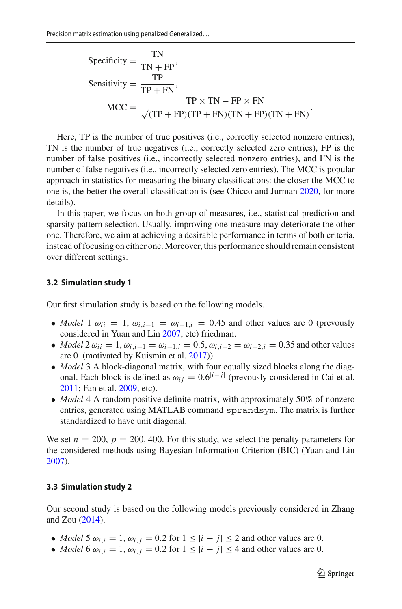$$
Specificity = \frac{TN}{TN + FP},
$$
\n
$$
Sensitivity = \frac{TP}{TP + FN},
$$
\n
$$
MCC = \frac{TP \times TN - FP \times FN}{\sqrt{(TP + FP)(TP + FN)(TN + FP)(TN + FN)}}.
$$

Here, TP is the number of true positives (i.e., correctly selected nonzero entries), TN is the number of true negatives (i.e., correctly selected zero entries), FP is the number of false positives (i.e., incorrectly selected nonzero entries), and FN is the number of false negatives (i.e., incorrectly selected zero entries). The MCC is popular approach in statistics for measuring the binary classifications: the closer the MCC to one is, the better the overall classification is (see Chicco and Jurma[n](#page-16-26) [2020](#page-16-26), for more details).

In this paper, we focus on both group of measures, i.e., statistical prediction and sparsity pattern selection. Usually, improving one measure may deteriorate the other one. Therefore, we aim at achieving a desirable performance in terms of both criteria, instead of focusing on either one. Moreover, this performance should remain consistent over different settings.

#### **3.2 Simulation study 1**

Our first simulation study is based on the following models.

- *Model* 1  $\omega_{ii} = 1$ ,  $\omega_{i,i-1} = \omega_{i-1,i} = 0.45$  and other values are 0 (prevously considered in Yuan and Li[n](#page-17-0) [2007,](#page-17-0) etc) friedman.
- *Model* 2  $\omega_{ii} = 1$ ,  $\omega_{i,i-1} = \omega_{i-1,i} = 0.5$ ,  $\omega_{i,i-2} = \omega_{i-2,i} = 0.35$  and other values are 0 (motivated by Kuismin et al[.](#page-16-16) [2017](#page-16-16))).
- *Model* 3 A block-diagonal matrix, with four equally sized blocks along the diag-onal[.](#page-16-11) Each block is defined as  $\omega_{ij} = 0.6|i-j|$  (prevously considered in Cai et al. [2011;](#page-16-11) Fan et al[.](#page-16-13) [2009,](#page-16-13) etc).
- *Model* 4 A random positive definite matrix, with approximately 50% of nonzero entries, generated using MATLAB command sprandsym. The matrix is further standardized to have unit diagonal.

We set  $n = 200$ ,  $p = 200$ , 400. For this study, we select the penalty parameters for the considered methods using Bayesian Information Criterion (BIC) (Yuan and Li[n](#page-17-0) [2007\)](#page-17-0).

#### **3.3 Simulation study 2**

Our second study is based on the following models previously considered in Zhang and Zo[u](#page-17-1) [\(2014](#page-17-1)).

- *Model* 5  $\omega_{i,i} = 1$ ,  $\omega_{i,j} = 0.2$  for  $1 \leq |i j| \leq 2$  and other values are 0.
- *Model* 6  $\omega_{i,i} = 1$ ,  $\omega_{i,i} = 0.2$  for  $1 \leq |i j| \leq 4$  and other values are 0.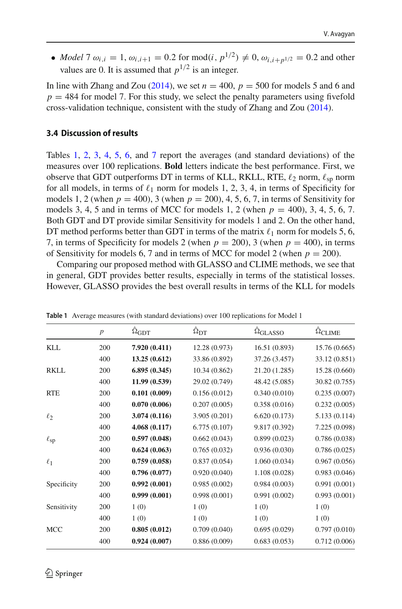• *Model* 7  $\omega_{i,i} = 1$ ,  $\omega_{i,i+1} = 0.2$  for mod(*i*,  $p^{1/2}$ )  $\neq 0$ ,  $\omega_{i,i+n^{1/2}} = 0.2$  and other values are 0. It is assumed that  $p^{1/2}$  is an integer.

In line with Zhang and Zo[u](#page-17-1) [\(2014](#page-17-1)), we set  $n = 400$ ,  $p = 500$  for models 5 and 6 and  $p = 484$  for model 7. For this study, we select the penalty parameters using fivefold cross-validation technique, consistent with the study of Zhang and Zo[u](#page-17-1) [\(2014](#page-17-1)).

## **3.4 Discussion of results**

Tables [1,](#page-7-0) [2,](#page-8-0) [3,](#page-8-1) [4,](#page-9-0) [5,](#page-9-1) [6,](#page-10-0) and [7](#page-10-1) report the averages (and standard deviations) of the measures over 100 replications. **Bold** letters indicate the best performance. First, we observe that GDT outperforms DT in terms of KLL, RKLL, RTE,  $\ell_2$  norm,  $\ell_{\rm sp}$  norm for all models, in terms of  $\ell_1$  norm for models 1, 2, 3, 4, in terms of Specificity for models 1, 2 (when  $p = 400$ ), 3 (when  $p = 200$ ), 4, 5, 6, 7, in terms of Sensitivity for models 3, 4, 5 and in terms of MCC for models 1, 2 (when *p* = 400), 3, 4, 5, 6, 7. Both GDT and DT provide similar Sensitivity for models 1 and 2. On the other hand, DT method performs better than GDT in terms of the matrix  $\ell_1$  norm for models 5, 6, 7, in terms of Specificity for models 2 (when  $p = 200$ ), 3 (when  $p = 400$ ), in terms of Sensitivity for models 6, 7 and in terms of MCC for model 2 (when  $p = 200$ ).

Comparing our proposed method with GLASSO and CLIME methods, we see that in general, GDT provides better results, especially in terms of the statistical losses. However, GLASSO provides the best overall results in terms of the KLL for models

|             | $\boldsymbol{p}$ | $\Omega_{\rm GDT}$ | $\Omega_{\mathrm{DT}}$ | $\Omega$ GLASSO | $\Omega_{CLIME}$ |
|-------------|------------------|--------------------|------------------------|-----------------|------------------|
| <b>KLL</b>  | 200              | 7.920 (0.411)      | 12.28 (0.973)          | 16.51 (0.893)   | 15.76 (0.665)    |
|             | 400              | 13.25(0.612)       | 33.86 (0.892)          | 37.26 (3.457)   | 33.12 (0.851)    |
| RKLL        | 200              | 6.895(0.345)       | 10.34(0.862)           | 21.20 (1.285)   | 15.28 (0.660)    |
|             | 400              | 11.99 (0.539)      | 29.02 (0.749)          | 48.42 (5.085)   | 30.82 (0.755)    |
| <b>RTE</b>  | 200              | 0.101(0.009)       | 0.156(0.012)           | 0.340(0.010)    | 0.235(0.007)     |
|             | 400              | 0.070(0.006)       | 0.207(0.005)           | 0.358(0.016)    | 0.232(0.005)     |
| $\ell$ 2    | 200              | 3.074(0.116)       | 3.905 (0.201)          | 6.620(0.173)    | 5.133 (0.114)    |
|             | 400              | 4.068(0.117)       | 6.775(0.107)           | 9.817 (0.392)   | 7.225 (0.098)    |
| $\ell_{sp}$ | 200              | 0.597(0.048)       | 0.662(0.043)           | 0.899(0.023)    | 0.786(0.038)     |
|             | 400              | 0.624(0.063)       | 0.765(0.032)           | 0.936(0.030)    | 0.786(0.025)     |
| $\ell_1$    | 200              | 0.759(0.058)       | 0.837(0.054)           | 1.060(0.034)    | 0.967(0.056)     |
|             | 400              | 0.796(0.077)       | 0.920(0.040)           | 1.108 (0.028)   | 0.983(0.046)     |
| Specificity | 200              | 0.992(0.001)       | 0.985(0.002)           | 0.984(0.003)    | 0.991(0.001)     |
|             | 400              | 0.999(0.001)       | 0.998(0.001)           | 0.991(0.002)    | 0.993(0.001)     |
| Sensitivity | 200              | 1(0)               | 1(0)                   | 1(0)            | 1(0)             |
|             | 400              | 1(0)               | 1(0)                   | 1(0)            | 1(0)             |
| MCC         | 200              | 0.805(0.012)       | 0.709(0.040)           | 0.695(0.029)    | 0.797(0.010)     |
|             | 400              | 0.924(0.007)       | 0.886(0.009)           | 0.683(0.053)    | 0.712(0.006)     |

<span id="page-7-0"></span>**Table 1** Average measures (with standard deviations) over 100 replications for Model 1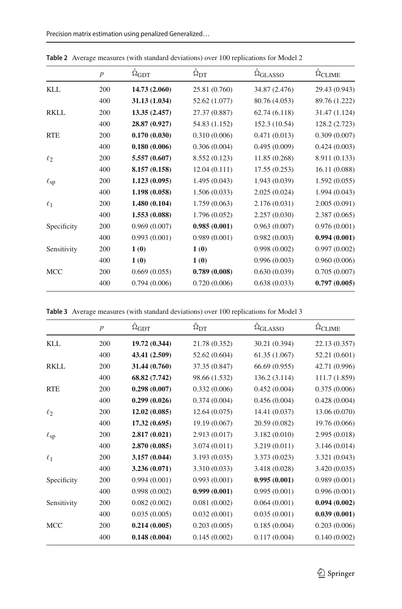|             | $\boldsymbol{p}$ | $\hat{\Omega}_{\text{GDT}}$ | $\hat{\Omega}_{\mathrm{DT}}$ | $\Omega$ GLASSO | $\hat{\Omega}_{CLIME}$ |
|-------------|------------------|-----------------------------|------------------------------|-----------------|------------------------|
| <b>KLL</b>  | 200              | 14.73 (2.060)               | 25.81 (0.760)                | 34.87 (2.476)   | 29.43 (0.943)          |
|             | 400              | 31.13 (1.034)               | 52.62 (1.077)                | 80.76 (4.053)   | 89.76 (1.222)          |
| <b>RKLL</b> | 200              | 13.35 (2.457)               | 27.37 (0.887)                | 62.74 (6.118)   | 31.47 (1.124)          |
|             | 400              | 28.87 (0.927)               | 54.83 (1.152)                | 152.3 (10.54)   | 128.2 (2.723)          |
| <b>RTE</b>  | 200              | 0.170(0.030)                | 0.310(0.006)                 | 0.471(0.013)    | 0.309(0.007)           |
|             | 400              | 0.180(0.006)                | 0.306(0.004)                 | 0.495(0.009)    | 0.424(0.003)           |
| $\ell_2$    | 200              | 5.557 (0.607)               | 8.552 (0.123)                | 11.85 (0.268)   | 8.911 (0.133)          |
|             | 400              | 8.157 (0.158)               | 12.04(0.111)                 | 17.55(0.253)    | 16.11 (0.088)          |
| $\ell_{sp}$ | 200              | 1.123(0.095)                | 1.495(0.043)                 | 1.943 (0.039)   | 1.592(0.055)           |
|             | 400              | 1.198(0.058)                | 1.506(0.033)                 | 2.025(0.024)    | 1.994(0.043)           |
| $\ell_1$    | 200              | 1.480(0.104)                | 1.759(0.063)                 | 2.176 (0.031)   | 2.005(0.091)           |
|             | 400              | 1.553(0.088)                | 1.796(0.052)                 | 2.257(0.030)    | 2.387(0.065)           |
| Specificity | 200              | 0.969(0.007)                | 0.985(0.001)                 | 0.963(0.007)    | 0.976(0.001)           |
|             | 400              | 0.993(0.001)                | 0.989(0.001)                 | 0.982(0.003)    | 0.994(0.001)           |
| Sensitivity | 200              | 1(0)                        | 1(0)                         | 0.998(0.002)    | 0.997(0.002)           |
|             | 400              | 1(0)                        | 1(0)                         | 0.996(0.003)    | 0.960(0.006)           |
| MCC         | 200              | 0.669(0.055)                | 0.789(0.008)                 | 0.630(0.039)    | 0.705(0.007)           |
|             | 400              | 0.794(0.006)                | 0.720(0.006)                 | 0.638(0.033)    | 0.797(0.005)           |

<span id="page-8-0"></span>**Table 2** Average measures (with standard deviations) over 100 replications for Model 2

<span id="page-8-1"></span>**Table 3** Average measures (with standard deviations) over 100 replications for Model 3

|                 | $\boldsymbol{p}$ | $\Omega_{\rm GDT}$ | $\Omega_{\mathrm{DT}}$ | $\Omega$ GLASSO | $\Omega$ CLIME |
|-----------------|------------------|--------------------|------------------------|-----------------|----------------|
| <b>KLL</b>      | 200              | 19.72 (0.344)      | 21.78 (0.352)          | 30.21 (0.394)   | 22.13 (0.357)  |
|                 | 400              | 43.41 (2.509)      | 52.62 (0.604)          | 61.35 (1.067)   | 52.21 (0.601)  |
| RKLL            | 200              | 31.44 (0.760)      | 37.35 (0.847)          | 66.69 (0.955)   | 42.71 (0.996)  |
|                 | 400              | 68.82 (7.742)      | 98.66 (1.532)          | 136.2(3.114)    | 111.7 (1.859)  |
| <b>RTE</b>      | 200              | 0.298(0.007)       | 0.332(0.006)           | 0.452(0.004)    | 0.375(0.006)   |
|                 | 400              | 0.299(0.026)       | 0.374(0.004)           | 0.456(0.004)    | 0.428(0.004)   |
| $\ell$ 2        | 200              | 12.02(0.085)       | 12.64 (0.075)          | 14.41 (0.037)   | 13.06 (0.070)  |
|                 | 400              | 17.32(0.695)       | 19.19 (0.067)          | 20.59 (0.082)   | 19.76 (0.066)  |
| $\ell_{\rm sp}$ | 200              | 2.817(0.021)       | 2.913(0.017)           | 3.182(0.010)    | 2.995(0.018)   |
|                 | 400              | 2.870(0.085)       | 3.074(0.011)           | 3.219(0.011)    | 3.146(0.014)   |
| $\ell_1$        | 200              | 3.157(0.044)       | 3.193(0.035)           | 3.373 (0.023)   | 3.321 (0.043)  |
|                 | 400              | 3.236(0.071)       | 3.310 (0.033)          | 3.418 (0.028)   | 3.420 (0.035)  |
| Specificity     | 200              | 0.994(0.001)       | 0.993(0.001)           | 0.995(0.001)    | 0.989(0.001)   |
|                 | 400              | 0.998(0.002)       | 0.999(0.001)           | 0.995(0.001)    | 0.996(0.001)   |
| Sensitivity     | 200              | 0.082(0.002)       | 0.081(0.002)           | 0.064(0.001)    | 0.094(0.002)   |
|                 | 400              | 0.035(0.005)       | 0.032(0.001)           | 0.035(0.001)    | 0.039(0.001)   |
| MCC             | 200              | 0.214(0.005)       | 0.203(0.005)           | 0.185(0.004)    | 0.203(0.006)   |
|                 | 400              | 0.148(0.004)       | 0.145(0.002)           | 0.117(0.004)    | 0.140(0.002)   |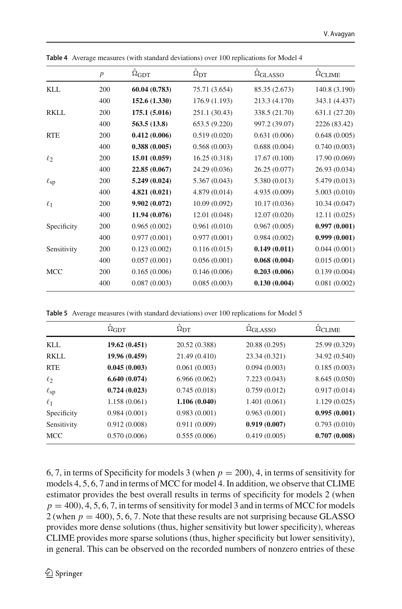|             | $\boldsymbol{p}$ | $\hat{\Omega}_{\text{GDT}}$ | $\hat{\Omega}_{\mathrm{DT}}$ | $\hat{\Omega}_{\text{GLASSO}}$ | $\hat{\Omega}_{CLIME}$ |
|-------------|------------------|-----------------------------|------------------------------|--------------------------------|------------------------|
| <b>KLL</b>  | 200              | 60.04 (0.783)               | 75.71 (3.654)                | 85.35 (2.673)                  | 140.8 (3.190)          |
|             | 400              | 152.6 (1.330)               | 176.9 (1.193)                | 213.3 (4.170)                  | 343.1 (4.437)          |
| <b>RKLL</b> | 200              | 175.1 (5.016)               | 251.1 (30.43)                | 338.5 (21.70)                  | 631.1 (27.20)          |
|             | 400              | 563.5(13.8)                 | 653.5 (9.220)                | 997.2 (39.07)                  | 2226 (83.42)           |
| <b>RTE</b>  | 200              | 0.412(0.006)                | 0.519(0.020)                 | 0.631(0.006)                   | 0.648(0.005)           |
|             | 400              | 0.388(0.005)                | 0.568(0.003)                 | 0.688(0.004)                   | 0.740(0.003)           |
| $\ell$ 2    | 200              | 15.01 (0.059)               | 16.25(0.318)                 | 17.67 (0.100)                  | 17.90 (0.069)          |
|             | 400              | 22.85 (0.067)               | 24.29 (0.036)                | 26.25 (0.077)                  | 26.93 (0.034)          |
| $\ell_{sp}$ | 200              | 5.249 (0.024)               | 5.367(0.043)                 | 5.380 (0.013)                  | 5.479 (0.013)          |
|             | 400              | 4.821(0.021)                | 4.879 (0.014)                | 4.935 (0.009)                  | 5.003(0.010)           |
| $\ell_1$    | 200              | 9.902(0.072)                | 10.09(0.092)                 | 10.17 (0.036)                  | 10.34(0.047)           |
|             | 400              | 11.94 (0.076)               | 12.01 (0.048)                | 12.07 (0.020)                  | 12.11(0.025)           |
| Specificity | 200              | 0.965(0.002)                | 0.961(0.010)                 | 0.967(0.005)                   | 0.997(0.001)           |
|             | 400              | 0.977(0.001)                | 0.977(0.001)                 | 0.984(0.002)                   | 0.999(0.001)           |
| Sensitivity | 200              | 0.123(0.002)                | 0.116(0.015)                 | 0.149(0.011)                   | 0.044(0.001)           |
|             | 400              | 0.057(0.001)                | 0.056(0.001)                 | 0.068(0.004)                   | 0.015(0.001)           |
| MCC         | 200              | 0.165(0.006)                | 0.146(0.006)                 | 0.203(0.006)                   | 0.139(0.004)           |
|             | 400              | 0.087(0.003)                | 0.085(0.003)                 | 0.130(0.004)                   | 0.081(0.002)           |
|             |                  |                             |                              |                                |                        |

<span id="page-9-0"></span>**Table 4** Average measures (with standard deviations) over 100 replications for Model 4

<span id="page-9-1"></span>**Table 5** Average measures (with standard deviations) over 100 replications for Model 5

|             | $\Omega$ GDT  | $\Omega_{\mathrm{DT}}$ | $\Omega$ GLASSO | $\Omega$ CLIME<br>25.99 (0.329) |  |
|-------------|---------------|------------------------|-----------------|---------------------------------|--|
| KLL         | 19.62(0.451)  | 20.52 (0.388)          | 20.88 (0.295)   |                                 |  |
| <b>RKLL</b> | 19.96 (0.459) | 21.49 (0.410)          | 23.34 (0.321)   | 34.92 (0.540)                   |  |
| <b>RTE</b>  | 0.045(0.003)  | 0.061(0.003)           | 0.094(0.003)    | 0.185(0.003)                    |  |
| $\ell_2$    | 6.640(0.074)  | 6.966(0.062)           | 7.223(0.043)    | 8.645 (0.050)                   |  |
| $\ell_{sp}$ | 0.724(0.023)  | 0.745(0.018)           | 0.759(0.012)    | 0.917(0.014)                    |  |
| $\ell_1$    | 1.158(0.061)  | 1.106(0.040)           | 1.401(0.061)    | 1.129(0.025)                    |  |
| Specificity | 0.984(0.001)  | 0.983(0.001)           | 0.963(0.001)    | 0.995(0.001)                    |  |
| Sensitivity | 0.912(0.008)  | 0.911(0.009)           | 0.919(0.007)    | 0.793(0.010)                    |  |
| MCC         | 0.570(0.006)  | 0.555(0.006)           | 0.419(0.005)    | 0.707(0.008)                    |  |

6, 7, in terms of Specificity for models 3 (when  $p = 200$ ), 4, in terms of sensitivity for models 4, 5, 6, 7 and in terms of MCC for model 4. In addition, we observe that CLIME estimator provides the best overall results in terms of specificity for models 2 (when  $p = 400$ , 4, 5, 6, 7, in terms of sensitivity for model 3 and in terms of MCC for models 2 (when  $p = 400$ ), 5, 6, 7. Note that these results are not surprising because GLASSO provides more dense solutions (thus, higher sensitivity but lower specificity), whereas CLIME provides more sparse solutions (thus, higher specificity but lower sensitivity), in general. This can be observed on the recorded numbers of nonzero entries of these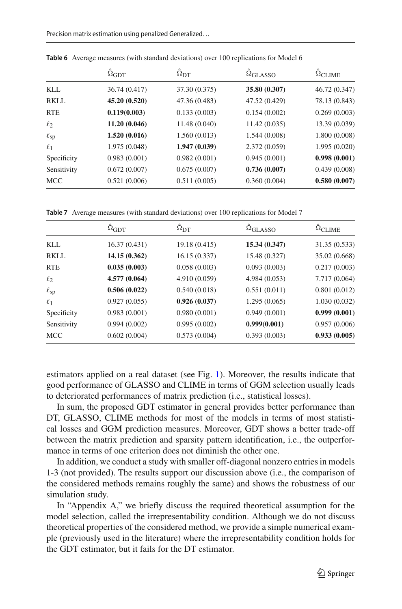|             | $\Omega_{\rm GDT}$ | $\Omega_{\mathrm{DT}}$ | $\Omega$ GLASSO | $\Omega$ CLIME |
|-------------|--------------------|------------------------|-----------------|----------------|
| KLL         | 36.74 (0.417)      | 37.30 (0.375)          | 35.80 (0.307)   | 46.72 (0.347)  |
| <b>RKLL</b> | 45.20 (0.520)      | 47.36 (0.483)          | 47.52 (0.429)   | 78.13 (0.843)  |
| <b>RTE</b>  | 0.119(0.003)       | 0.133(0.003)           | 0.154(0.002)    | 0.269(0.003)   |
| $\ell_2$    | 11.20(0.046)       | 11.48 (0.040)          | 11.42(0.035)    | 13.39 (0.039)  |
| $\ell_{sp}$ | 1.520(0.016)       | 1.560(0.013)           | 1.544(0.008)    | 1.800(0.008)   |
| $\ell_1$    | 1.975 (0.048)      | 1.947(0.039)           | 2.372(0.059)    | 1.995(0.020)   |
| Specificity | 0.983(0.001)       | 0.982(0.001)           | 0.945(0.001)    | 0.998(0.001)   |
| Sensitivity | 0.672(0.007)       | 0.675(0.007)           | 0.736(0.007)    | 0.439(0.008)   |
| <b>MCC</b>  | 0.521(0.006)       | 0.511(0.005)           | 0.360(0.004)    | 0.580(0.007)   |

<span id="page-10-0"></span>**Table 6** Average measures (with standard deviations) over 100 replications for Model 6

<span id="page-10-1"></span>**Table 7** Average measures (with standard deviations) over 100 replications for Model 7

|             | $\Omega_{\rm GDT}$ | $\Omega_{\mathrm{DT}}$ | $\Omega$ GLASSO | $\Omega$ CLIME<br>31.35 (0.533) |  |
|-------------|--------------------|------------------------|-----------------|---------------------------------|--|
| KLL         | 16.37(0.431)       | 19.18 (0.415)          | 15.34(0.347)    |                                 |  |
| <b>RKLL</b> | 14.15(0.362)       | 16.15(0.337)           | 15.48 (0.327)   | 35.02 (0.668)                   |  |
| <b>RTE</b>  | 0.035(0.003)       | 0.058(0.003)           | 0.093(0.003)    | 0.217(0.003)                    |  |
| $\ell_2$    | 4.577(0.064)       | 4.910 (0.059)          | 4.984(0.053)    | 7.717 (0.064)                   |  |
| $\ell_{sp}$ | 0.506(0.022)       | 0.540(0.018)           | 0.551(0.011)    | 0.801(0.012)                    |  |
| $\ell_1$    | 0.927(0.055)       | 0.926(0.037)           | 1.295(0.065)    | 1.030(0.032)                    |  |
| Specificity | 0.983(0.001)       | 0.980(0.001)           | 0.949(0.001)    | 0.999(0.001)                    |  |
| Sensitivity | 0.994(0.002)       | 0.995(0.002)           | 0.999(0.001)    | 0.957(0.006)                    |  |
| <b>MCC</b>  | 0.602(0.004)       | 0.573(0.004)           | 0.393(0.003)    | 0.933(0.005)                    |  |

estimators applied on a real dataset (see Fig. [1\)](#page-11-1). Moreover, the results indicate that good performance of GLASSO and CLIME in terms of GGM selection usually leads to deteriorated performances of matrix prediction (i.e., statistical losses).

In sum, the proposed GDT estimator in general provides better performance than DT, GLASSO, CLIME methods for most of the models in terms of most statistical losses and GGM prediction measures. Moreover, GDT shows a better trade-off between the matrix prediction and sparsity pattern identification, i.e., the outperformance in terms of one criterion does not diminish the other one.

In addition, we conduct a study with smaller off-diagonal nonzero entries in models 1-3 (not provided). The results support our discussion above (i.e., the comparison of the considered methods remains roughly the same) and shows the robustness of our simulation study.

In "Appendix A," we briefly discuss the required theoretical assumption for the model selection, called the irrepresentability condition. Although we do not discuss theoretical properties of the considered method, we provide a simple numerical example (previously used in the literature) where the irrepresentability condition holds for the GDT estimator, but it fails for the DT estimator.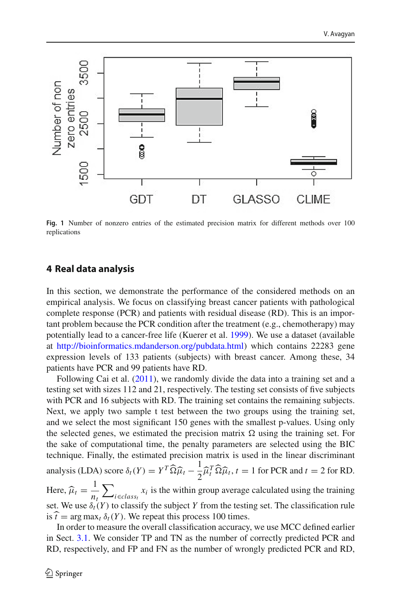

<span id="page-11-1"></span>**Fig. 1** Number of nonzero entries of the estimated precision matrix for different methods over 100 replications

## <span id="page-11-0"></span>**4 Real data analysis**

In this section, we demonstrate the performance of the considered methods on an empirical analysis. We focus on classifying breast cancer patients with pathological complete response (PCR) and patients with residual disease (RD). This is an important problem because the PCR condition after the treatment (e.g., chemotherapy) may potentially lead to a cancer-free life (Kuerer et al[.](#page-16-27) [1999\)](#page-16-27). We use a dataset (available at [http://bioinformatics.mdanderson.org/pubdata.html\)](http://bioinformatics.mdanderson.org/pubdata.html) which contains 22283 gene expression levels of 133 patients (subjects) with breast cancer. Among these, 34 patients have PCR and 99 patients have RD.

Following Cai et al[.](#page-16-11) [\(2011\)](#page-16-11), we randomly divide the data into a training set and a testing set with sizes 112 and 21, respectively. The testing set consists of five subjects with PCR and 16 subjects with RD. The training set contains the remaining subjects. Next, we apply two sample t test between the two groups using the training set, and we select the most significant 150 genes with the smallest p-values. Using only the selected genes, we estimated the precision matrix  $\Omega$  using the training set. For the sake of computational time, the penalty parameters are selected using the BIC technique. Finally, the estimated precision matrix is used in the linear discriminant analysis (LDA) score  $\delta_t(Y) = Y^T \widehat{\Omega} \widehat{\mu}_t - \frac{1}{2} \widehat{\mu}_t^T \widehat{\Omega} \widehat{\mu}_t$ ,  $t = 1$  for PCR and  $t = 2$  for RD. Here,  $\widehat{\mu}_t = \frac{1}{n_t}$  $\sum$  $i \in class_t$  *x<sub>i</sub>* is the within group average calculated using the training set. We use  $\delta_t(Y)$  to classify the subject *Y* from the testing set. The classification rule is  $\hat{t} = \arg \max_t \delta_t(Y)$ . We repeat this process 100 times.

In order to measure the overall classification accuracy, we use MCC defined earlier in Sect. [3.1.](#page-5-1) We consider TP and TN as the number of correctly predicted PCR and RD, respectively, and FP and FN as the number of wrongly predicted PCR and RD,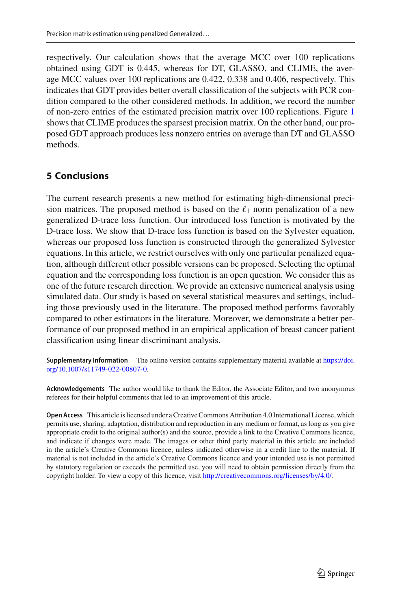respectively. Our calculation shows that the average MCC over 100 replications obtained using GDT is 0.445, whereas for DT, GLASSO, and CLIME, the average MCC values over 100 replications are 0.422, 0.338 and 0.406, respectively. This indicates that GDT provides better overall classification of the subjects with PCR condition compared to the other considered methods. In addition, we record the number of non-zero entries of the estimated precision matrix over 100 replications. Figure [1](#page-11-1) shows that CLIME produces the sparsest precision matrix. On the other hand, our proposed GDT approach produces less nonzero entries on average than DT and GLASSO methods.

# <span id="page-12-0"></span>**5 Conclusions**

The current research presents a new method for estimating high-dimensional precision matrices. The proposed method is based on the  $\ell_1$  norm penalization of a new generalized D-trace loss function. Our introduced loss function is motivated by the D-trace loss. We show that D-trace loss function is based on the Sylvester equation, whereas our proposed loss function is constructed through the generalized Sylvester equations. In this article, we restrict ourselves with only one particular penalized equation, although different other possible versions can be proposed. Selecting the optimal equation and the corresponding loss function is an open question. We consider this as one of the future research direction. We provide an extensive numerical analysis using simulated data. Our study is based on several statistical measures and settings, including those previously used in the literature. The proposed method performs favorably compared to other estimators in the literature. Moreover, we demonstrate a better performance of our proposed method in an empirical application of breast cancer patient classification using linear discriminant analysis.

**Supplementary Information** The online version contains supplementary material available at [https://doi.](https://doi.org/10.1007/s11749-022-00807-0) [org/10.1007/s11749-022-00807-0.](https://doi.org/10.1007/s11749-022-00807-0)

**Acknowledgements** The author would like to thank the Editor, the Associate Editor, and two anonymous referees for their helpful comments that led to an improvement of this article.

**Open Access** This article is licensed under a Creative Commons Attribution 4.0 International License, which permits use, sharing, adaptation, distribution and reproduction in any medium or format, as long as you give appropriate credit to the original author(s) and the source, provide a link to the Creative Commons licence, and indicate if changes were made. The images or other third party material in this article are included in the article's Creative Commons licence, unless indicated otherwise in a credit line to the material. If material is not included in the article's Creative Commons licence and your intended use is not permitted by statutory regulation or exceeds the permitted use, you will need to obtain permission directly from the copyright holder. To view a copy of this licence, visit [http://creativecommons.org/licenses/by/4.0/.](http://creativecommons.org/licenses/by/4.0/)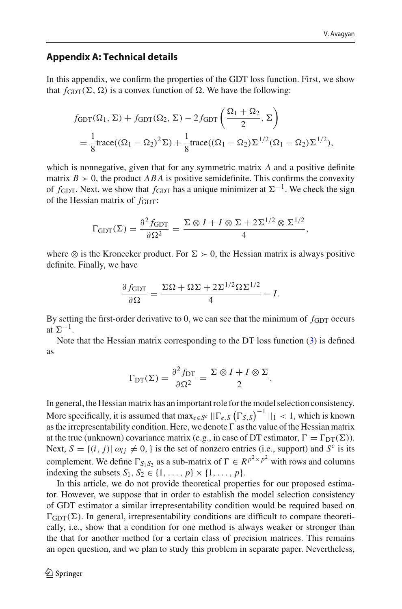# **Appendix A: Technical details**

In this appendix, we confirm the properties of the GDT loss function. First, we show that  $f_{GDT}(\Sigma, \Omega)$  is a convex function of  $\Omega$ . We have the following:

$$
f_{\text{GDT}}(\Omega_1, \Sigma) + f_{\text{GDT}}(\Omega_2, \Sigma) - 2f_{\text{GDT}}\left(\frac{\Omega_1 + \Omega_2}{2}, \Sigma\right)
$$
  
=  $\frac{1}{8}$ trace $((\Omega_1 - \Omega_2)^2 \Sigma) + \frac{1}{8}$ trace $((\Omega_1 - \Omega_2) \Sigma^{1/2} (\Omega_1 - \Omega_2) \Sigma^{1/2}),$ 

which is nonnegative, given that for any symmetric matrix *A* and a positive definite matrix  $B > 0$ , the product  $ABA$  is positive semidefinite. This confirms the convexity of *f*<sub>GDT</sub>. Next, we show that *f*<sub>GDT</sub> has a unique minimizer at  $\Sigma^{-1}$ . We check the sign of the Hessian matrix of  $f_{GDT}$ :

$$
\Gamma_{\text{GDT}}(\Sigma) = \frac{\partial^2 f_{\text{GDT}}}{\partial \Omega^2} = \frac{\Sigma \otimes I + I \otimes \Sigma + 2\Sigma^{1/2} \otimes \Sigma^{1/2}}{4},
$$

where  $\otimes$  is the Kronecker product. For  $\Sigma > 0$ , the Hessian matrix is always positive definite. Finally, we have

$$
\frac{\partial f_{\text{GDT}}}{\partial \Omega} = \frac{\Sigma \Omega + \Omega \Sigma + 2 \Sigma^{1/2} \Omega \Sigma^{1/2}}{4} - I.
$$

By setting the first-order derivative to 0, we can see that the minimum of  $f_{GDT}$  occurs at  $\Sigma^{-1}$ .

Note that the Hessian matrix corresponding to the DT loss function [\(3\)](#page-3-0) is defined as

$$
\Gamma_{\text{DT}}(\Sigma) = \frac{\partial^2 f_{\text{DT}}}{\partial \Omega^2} = \frac{\Sigma \otimes I + I \otimes \Sigma}{2}.
$$

In general, the Hessian matrix has an important role for the model selection consistency. More specifically, it is assumed that  $\max_{e \in S^c} ||\Gamma_{e,S} (\Gamma_{S,S})^{-1}||_1 < 1$ , which is known as the irrepresentability condition. Here, we denote  $\Gamma$  as the value of the Hessian matrix at the true (unknown) covariance matrix (e.g., in case of DT estimator,  $\Gamma = \Gamma_{DT}(\Sigma)$ ). Next,  $S = \{(i, j) | \omega_{ij} \neq 0, \}$  is the set of nonzero entries (i.e., support) and  $S^c$  is its complement. We define  $\Gamma_{S_1 S_2}$  as a sub-matrix of  $\Gamma \in R^{p^2 \times p^2}$  with rows and columns indexing the subsets  $S_1, S_2 \in \{1, \ldots, p\} \times \{1, \ldots, p\}.$ 

In this article, we do not provide theoretical properties for our proposed estimator. However, we suppose that in order to establish the model selection consistency of GDT estimator a similar irrepresentability condition would be required based on  $\Gamma_{GDT}(\Sigma)$ . In general, irrepresentability conditions are difficult to compare theoretically, i.e., show that a condition for one method is always weaker or stronger than the that for another method for a certain class of precision matrices. This remains an open question, and we plan to study this problem in separate paper. Nevertheless,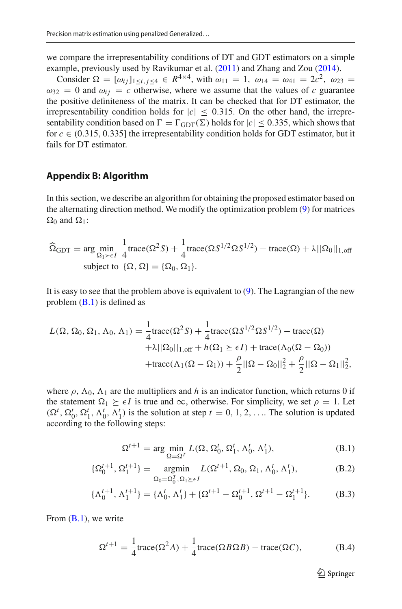we compare the irrepresentability conditions of DT and GDT estimators on a simple example, previously used by Ravikumar et al[.](#page-16-7) [\(2011](#page-16-7)) and Zhang and Zo[u](#page-17-1) [\(2014\)](#page-17-1).

Consider  $\Omega = [\omega_{ii}]_{1 \le i, j \le 4} \in R^{4 \times 4}$ , with  $\omega_{11} = 1$ ,  $\omega_{14} = \omega_{41} = 2c^2$ ,  $\omega_{23} =$  $\omega_{32} = 0$  and  $\omega_{ij} = c$  otherwise, where we assume that the values of *c* guarantee the positive definiteness of the matrix. It can be checked that for DT estimator, the irrepresentability condition holds for  $|c| \leq 0.315$ . On the other hand, the irrepresentability condition based on  $\Gamma = \Gamma_{GDT}(\Sigma)$  holds for  $|c| \leq 0.335$ , which shows that for  $c \in (0.315, 0.335]$  the irrepresentability condition holds for GDT estimator, but it fails for DT estimator.

# **Appendix B: Algorithm**

In this section, we describe an algorithm for obtaining the proposed estimator based on the alternating direction method. We modify the optimization problem [\(9\)](#page-4-1) for matrices  $\Omega_0$  and  $\Omega_1$ :

$$
\widehat{\Omega}_{\text{GDT}} = \arg \min_{\Omega_1 \succ \epsilon I} \frac{1}{4} \text{trace}(\Omega^2 S) + \frac{1}{4} \text{trace}(\Omega S^{1/2} \Omega S^{1/2}) - \text{trace}(\Omega) + \lambda ||\Omega_0||_{1, \text{off}}
$$
\nsubject to  $\{\Omega, \Omega\} = \{\Omega_0, \Omega_1\}.$ 

It is easy to see that the problem above is equivalent to  $(9)$ . The Lagrangian of the new problem [\(B.1\)](#page-14-0) is defined as

$$
L(\Omega, \Omega_0, \Omega_1, \Lambda_0, \Lambda_1) = \frac{1}{4} \text{trace}(\Omega^2 S) + \frac{1}{4} \text{trace}(\Omega S^{1/2} \Omega S^{1/2}) - \text{trace}(\Omega)
$$
  
+  $\lambda ||\Omega_0||_{1, \text{off}} + h(\Omega_1 \ge \epsilon I) + \text{trace}(\Lambda_0(\Omega - \Omega_0))$   
+  $\text{trace}(\Lambda_1(\Omega - \Omega_1)) + \frac{\rho}{2} ||\Omega - \Omega_0||_2^2 + \frac{\rho}{2} ||\Omega - \Omega_1||_2^2,$ 

where  $\rho$ ,  $\Lambda_0$ ,  $\Lambda_1$  are the multipliers and *h* is an indicator function, which returns 0 if the statement  $\Omega_1 \geq \epsilon I$  is true and  $\infty$ , otherwise. For simplicity, we set  $\rho = 1$ . Let  $(\Omega^t, \Omega_0^t, \Omega_1^t, \Lambda_0^t, \Lambda_1^t)$  is the solution at step  $t = 0, 1, 2, \ldots$  The solution is updated according to the following steps:

<span id="page-14-0"></span>
$$
\Omega^{t+1} = \arg\min_{\Omega = \Omega^T} L(\Omega, \Omega_0^t, \Omega_1^t, \Lambda_0^t, \Lambda_1^t),
$$
 (B.1)

$$
\{\Omega_0^{t+1}, \Omega_1^{t+1}\} = \underset{\Omega_0 = \Omega_0^T, \Omega_1 \succeq \epsilon I}{\text{argmin}} L(\Omega^{t+1}, \Omega_0, \Omega_1, \Lambda_0^t, \Lambda_1^t),
$$
\n(B.2)

$$
\{\Lambda_0^{t+1}, \Lambda_1^{t+1}\} = \{\Lambda_0^t, \Lambda_1^t\} + \{\Omega^{t+1} - \Omega_0^{t+1}, \Omega^{t+1} - \Omega_1^{t+1}\}.
$$
 (B.3)

From  $(B.1)$ , we write

<span id="page-14-1"></span>
$$
\Omega^{t+1} = \frac{1}{4} \text{trace}(\Omega^2 A) + \frac{1}{4} \text{trace}(\Omega B \Omega B) - \text{trace}(\Omega C), \tag{B.4}
$$

 $\mathcal{D}$  Springer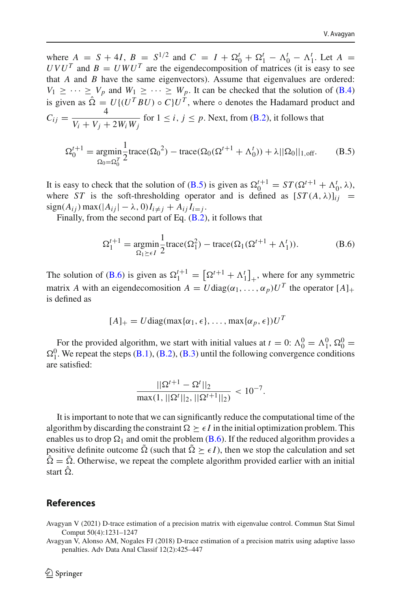where  $A = S + 4I$ ,  $B = S^{1/2}$  and  $C = I + \Omega_0^t + \Omega_1^t - \Lambda_0^t - \Lambda_1^t$ . Let  $A =$  $UVU<sup>T</sup>$  and  $B = UWU<sup>T</sup>$  are the eigendecomposition of matrices (it is easy to see that *A* and *B* have the same eigenvectors). Assume that eigenvalues are ordered:  $V_1 \geq \cdots \geq V_p$  and  $W_1 \geq \cdots \geq W_p$ . It can be checked that the solution of [\(B.4\)](#page-14-1) is given as  $\hat{\Omega} = U\{(U^T B U) \circ C\}U^T$ , where  $\circ$  denotes the Hadamard product and  $C_{ij} = \frac{4}{V_i + V_j + 2W_iW_j}$  for  $1 \le i, j \le p$ . Next, from [\(B.2\)](#page-14-0), it follows that

$$
\Omega_0^{t+1} = \underset{\Omega_0 = \Omega_0^T}{\text{argmin}} \frac{1}{2} \text{trace}(\Omega_0^2) - \text{trace}(\Omega_0(\Omega^{t+1} + \Lambda_0^t)) + \lambda ||\Omega_0||_{1, \text{off}}.
$$
 (B.5)

It is easy to check that the solution of [\(B.5\)](#page-15-2) is given as  $\Omega_0^{t+1} = ST(\Omega^{t+1} + \Lambda_0^t, \lambda)$ , where *ST* is the soft-thresholding operator and is defined as  $[ST(A, \lambda)]_{ii}$  =  $\frac{\text{sign}(A_{ij}) \max(|A_{ij}| - \lambda, 0)I_{i \neq j} + A_{ij}I_{i = j}$ .

Finally, from the second part of Eq. [\(B.2\)](#page-14-0), it follows that

<span id="page-15-3"></span><span id="page-15-2"></span>
$$
\Omega_1^{t+1} = \underset{\Omega_1 \succeq \epsilon I}{\text{argmin}} \frac{1}{2} \text{trace}(\Omega_1^2) - \text{trace}(\Omega_1(\Omega^{t+1} + \Lambda_1^t)). \tag{B.6}
$$

The solution of [\(B.6\)](#page-15-3) is given as  $\Omega_1^{t+1} = \left[\Omega^{t+1} + \Lambda_1^t\right]_+$ , where for any symmetric matrix *A* with an eigendecomosition  $A = U \text{diag}(\alpha_1, \ldots, \alpha_p) U^T$  the operator  $[A]_+$ is defined as

$$
[A]_{+} = U \text{diag}(\max{\{\alpha_1, \epsilon\}}, \dots, \max{\{\alpha_p, \epsilon\}})U^T
$$

For the provided algorithm, we start with initial values at  $t = 0$ :  $\Lambda_0^0 = \Lambda_1^0$ ,  $\Omega_0^0 =$  $\Omega_1^0$ . We repeat the steps [\(B.1\)](#page-14-0), [\(B.2\)](#page-14-0), [\(B.3\)](#page-14-0) until the following convergence conditions are satisfied:

$$
\frac{||\Omega^{t+1} - \Omega^t||_2}{\max(1, ||\Omega^t||_2, ||\Omega^{t+1}||_2)} < 10^{-7}.
$$

It is important to note that we can significantly reduce the computational time of the algorithm by discarding the constraint  $\Omega \geq \epsilon I$  in the initial optimization problem. This enables us to drop  $\Omega_1$  and omit the problem [\(B.6\)](#page-15-3). If the reduced algorithm provides a positive definite outcome  $\Omega$  (such that  $\Omega \succeq \epsilon I$ ), then we stop the calculation and set  $\hat{\Omega} = \tilde{\Omega}$ . Otherwise, we repeat the complete algorithm provided earlier with an initial start  $\hat{\Omega}$ .

#### **References**

- <span id="page-15-1"></span>Avagyan V (2021) D-trace estimation of a precision matrix with eigenvalue control. Commun Stat Simul Comput 50(4):1231–1247
- <span id="page-15-0"></span>Avagyan V, Alonso AM, Nogales FJ (2018) D-trace estimation of a precision matrix using adaptive lasso penalties. Adv Data Anal Classif 12(2):425–447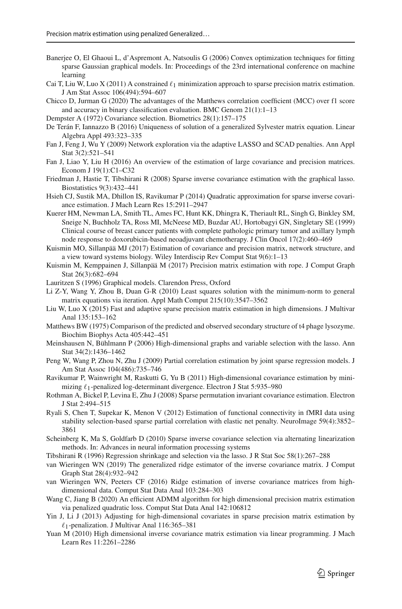- <span id="page-16-3"></span>Banerjee O, El Ghaoui L, d'Aspremont A, Natsoulis G (2006) Convex optimization techniques for fitting sparse Gaussian graphical models. In: Proceedings of the 23rd international conference on machine learning
- <span id="page-16-11"></span>Cai T, Liu W, Luo X (2011) A constrained  $\ell_1$  minimization approach to sparse precision matrix estimation. J Am Stat Assoc 106(494):594–607
- <span id="page-16-26"></span>Chicco D, Jurman G (2020) The advantages of the Matthews correlation coefficient (MCC) over f1 score and accuracy in binary classification evaluation. BMC Genom 21(1):1–13
- <span id="page-16-0"></span>Dempster A (1972) Covariance selection. Biometrics 28(1):157–175
- <span id="page-16-22"></span>De Terán F, Iannazzo B (2016) Uniqueness of solution of a generalized Sylvester matrix equation. Linear Algebra Appl 493:323–335
- <span id="page-16-13"></span>Fan J, Feng J, Wu Y (2009) Network exploration via the adaptive LASSO and SCAD penalties. Ann Appl Stat 3(2):521–541
- <span id="page-16-18"></span>Fan J, Liao Y, Liu H (2016) An overview of the estimation of large covariance and precision matrices. Econom J 19(1):C1–C32
- <span id="page-16-4"></span>Friedman J, Hastie T, Tibshirani R (2008) Sparse inverse covariance estimation with the graphical lasso. Biostatistics 9(3):432–441
- <span id="page-16-8"></span>Hsieh CJ, Sustik MA, Dhillon IS, Ravikumar P (2014) Quadratic approximation for sparse inverse covariance estimation. J Mach Learn Res 15:2911–2947
- <span id="page-16-27"></span>Kuerer HM, Newman LA, Smith TL, Ames FC, Hunt KK, Dhingra K, Theriault RL, Singh G, Binkley SM, Sneige N, Buchholz TA, Ross MI, McNeese MD, Buzdar AU, Hortobagyi GN, Singletary SE (1999) Clinical course of breast cancer patients with complete pathologic primary tumor and axillary lymph node response to doxorubicin-based neoadjuvant chemotherapy. J Clin Oncol 17(2):460–469
- <span id="page-16-19"></span>Kuismin MO, Sillanpää MJ (2017) Estimation of covariance and precision matrix, network structure, and a view toward systems biology. Wiley Interdiscip Rev Comput Stat 9(6):1–13
- <span id="page-16-16"></span>Kuismin M, Kemppainen J, Sillanpää M (2017) Precision matrix estimation with rope. J Comput Graph Stat 26(3):682–694
- <span id="page-16-1"></span>Lauritzen S (1996) Graphical models. Clarendon Press, Oxford
- <span id="page-16-21"></span>Li Z-Y, Wang Y, Zhou B, Duan G-R (2010) Least squares solution with the minimum-norm to general matrix equations via iteration. Appl Math Comput 215(10):3547–3562
- <span id="page-16-12"></span>Liu W, Luo X (2015) Fast and adaptive sparse precision matrix estimation in high dimensions. J Multivar Anal 135:153–162
- <span id="page-16-25"></span>Matthews BW (1975) Comparison of the predicted and observed secondary structure of t4 phage lysozyme. Biochim Biophys Acta 405:442–451
- <span id="page-16-9"></span>Meinshausen N, Bühlmann P (2006) High-dimensional graphs and variable selection with the lasso. Ann Stat 34(2):1436–1462
- <span id="page-16-10"></span>Peng W, Wang P, Zhou N, Zhu J (2009) Partial correlation estimation by joint sparse regression models. J Am Stat Assoc 104(486):735–746
- <span id="page-16-7"></span>Ravikumar P, Wainwright M, Raskutti G, Yu B (2011) High-dimensional covariance estimation by minimizing  $\ell_1$ -penalized log-determinant divergence. Electron J Stat 5:935–980
- <span id="page-16-6"></span>Rothman A, Bickel P, Levina E, Zhu J (2008) Sparse permutation invariant covariance estimation. Electron J Stat 2:494–515
- <span id="page-16-14"></span>Ryali S, Chen T, Supekar K, Menon V (2012) Estimation of functional connectivity in fMRI data using stability selection-based sparse partial correlation with elastic net penalty. NeuroImage 59(4):3852– 3861
- <span id="page-16-5"></span>Scheinberg K, Ma S, Goldfarb D (2010) Sparse inverse covariance selection via alternating linearization methods. In: Advances in neural information processing systems
- <span id="page-16-2"></span>Tibshirani R (1996) Regression shrinkage and selection via the lasso. J R Stat Soc 58(1):267–288
- <span id="page-16-17"></span>van Wieringen WN (2019) The generalized ridge estimator of the inverse covariance matrix. J Comput Graph Stat 28(4):932–942
- <span id="page-16-15"></span>van Wieringen WN, Peeters CF (2016) Ridge estimation of inverse covariance matrices from highdimensional data. Comput Stat Data Anal 103:284–303
- <span id="page-16-20"></span>Wang C, Jiang B (2020) An efficient ADMM algorithm for high dimensional precision matrix estimation via penalized quadratic loss. Comput Stat Data Anal 142:106812
- <span id="page-16-24"></span>Yin J, Li J (2013) Adjusting for high-dimensional covariates in sparse precision matrix estimation by  $\ell_1$ -penalization. J Multivar Anal 116:365–381
- <span id="page-16-23"></span>Yuan M (2010) High dimensional inverse covariance matrix estimation via linear programming. J Mach Learn Res 11:2261–2286